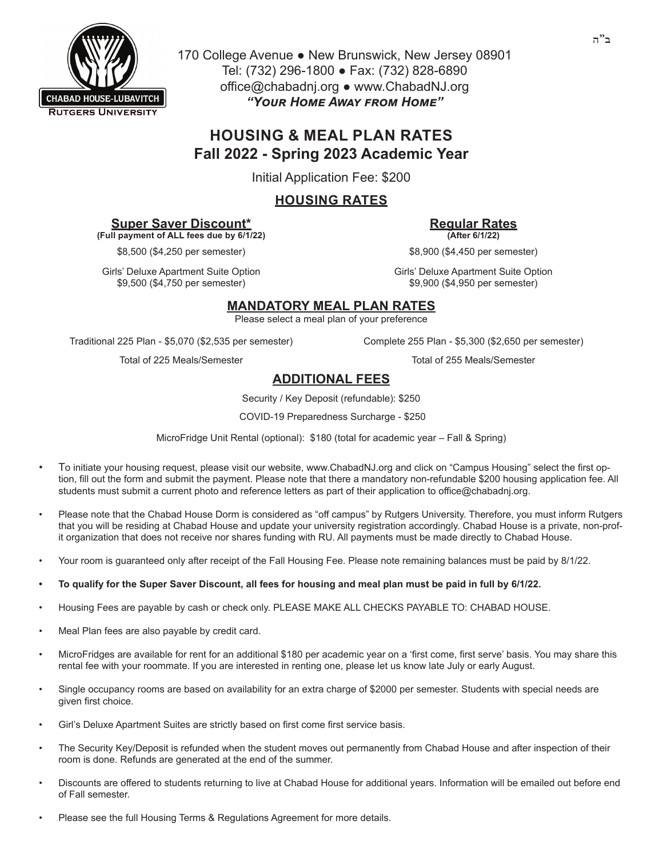

170 College Avenue ● New Brunswick, New Jersey 08901 Tel: (732) 296-1800 ● Fax: (732) 828-6890 office@chabadnj.org ● www.ChabadNJ.org *"Your Home Away from Home"* 

# **HOUSING & MEAL PLAN RATES Fall 2022 - Spring 2023 Academic Year**

Initial Application Fee: \$200

## **HOUSING RATES**

#### **Super Saver Discount\***

**(Full payment of ALL fees due by 6/1/22)**

\$8,500 (\$4,250 per semester) \$8,900 (\$4,450 per semester)

Girls' Deluxe Apartment Suite Option \$9,500 (\$4,750 per semester)

**Regular Rates (After 6/1/22)**

Girls' Deluxe Apartment Suite Option \$9,900 (\$4,950 per semester)

### **MANDATORY MEAL PLAN RATES**

Please select a meal plan of your preference

Traditional 225 Plan - \$5,070 (\$2,535 per semester) Complete 255 Plan - \$5,300 (\$2,650 per semester)

Total of 225 Meals/Semester Total of 255 Meals/Semester

# **ADDITIONAL FEES**

Security / Key Deposit (refundable): \$250

COVID-19 Preparedness Surcharge - \$250

MicroFridge Unit Rental (optional): \$180 (total for academic year – Fall & Spring)

- To initiate your housing request, please visit our website, www.ChabadNJ.org and click on "Campus Housing" select the first option, fill out the form and submit the payment. Please note that there a mandatory non-refundable \$200 housing application fee. All students must submit a current photo and reference letters as part of their application to office@chabadnj.org.
- Please note that the Chabad House Dorm is considered as "off campus" by Rutgers University. Therefore, you must inform Rutgers that you will be residing at Chabad House and update your university registration accordingly. Chabad House is a private, non-profit organization that does not receive nor shares funding with RU. All payments must be made directly to Chabad House.
- Your room is guaranteed only after receipt of the Fall Housing Fee. Please note remaining balances must be paid by 8/1/22.
- **• To qualify for the Super Saver Discount, all fees for housing and meal plan must be paid in full by 6/1/22.**
- Housing Fees are payable by cash or check only. PLEASE MAKE ALL CHECKS PAYABLE TO: CHABAD HOUSE.
- Meal Plan fees are also payable by credit card.
- MicroFridges are available for rent for an additional \$180 per academic year on a 'first come, first serve' basis. You may share this rental fee with your roommate. If you are interested in renting one, please let us know late July or early August.
- Single occupancy rooms are based on availability for an extra charge of \$2000 per semester. Students with special needs are given first choice.
- Girl's Deluxe Apartment Suites are strictly based on first come first service basis.
- The Security Key/Deposit is refunded when the student moves out permanently from Chabad House and after inspection of their room is done. Refunds are generated at the end of the summer.
- Discounts are offered to students returning to live at Chabad House for additional years. Information will be emailed out before end of Fall semester.
- Please see the full Housing Terms & Regulations Agreement for more details.